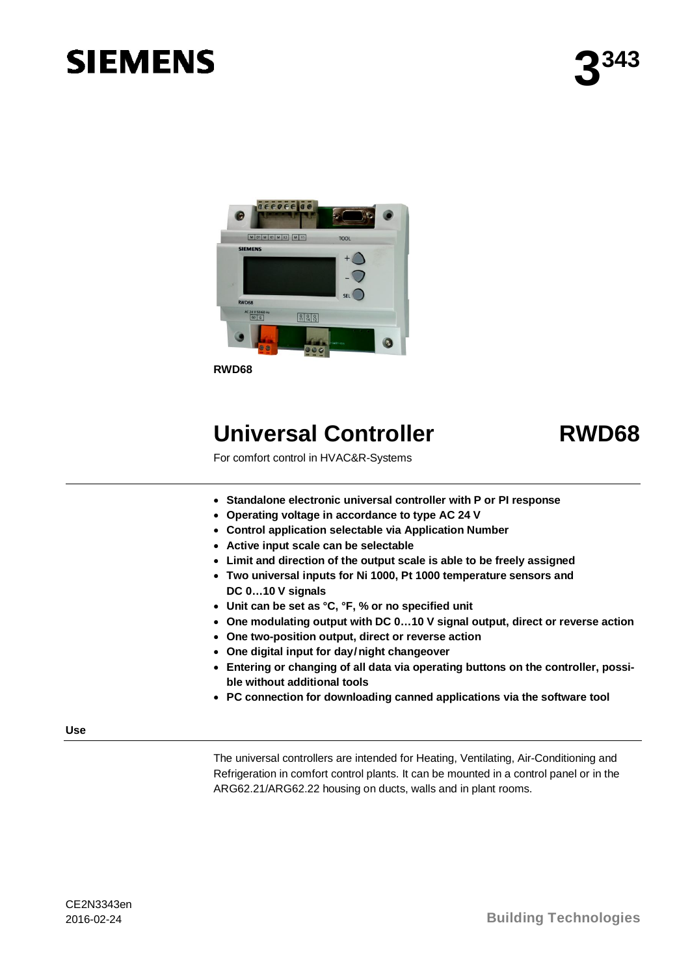# **SIEMENS**



**RWD68**

## **Universal Controller RWD68**

For comfort control in HVAC&R-Systems

- · **Standalone electronic universal controller with P or PI response**
- · **Operating voltage in accordance to type AC 24 V**
- · **Control application selectable via Application Number**
- · **Active input scale can be selectable**
- · **Limit and direction of the output scale is able to be freely assigned**
- · **Two universal inputs for Ni 1000, Pt 1000 temperature sensors and DC 0…10 V signals**
- · **Unit can be set as °C, °F, % or no specified unit**
- · **One modulating output with DC 0…10 V signal output, direct or reverse action**
- · **One two-position output, direct or reverse action**
- · **One digital input for day/night changeover**
- · **Entering or changing of all data via operating buttons on the controller, possible without additional tools**
- · **PC connection for downloading canned applications via the software tool**

**Use**

The universal controllers are intended for Heating, Ventilating, Air-Conditioning and Refrigeration in comfort control plants. It can be mounted in a control panel or in the ARG62.21/ARG62.22 housing on ducts, walls and in plant rooms.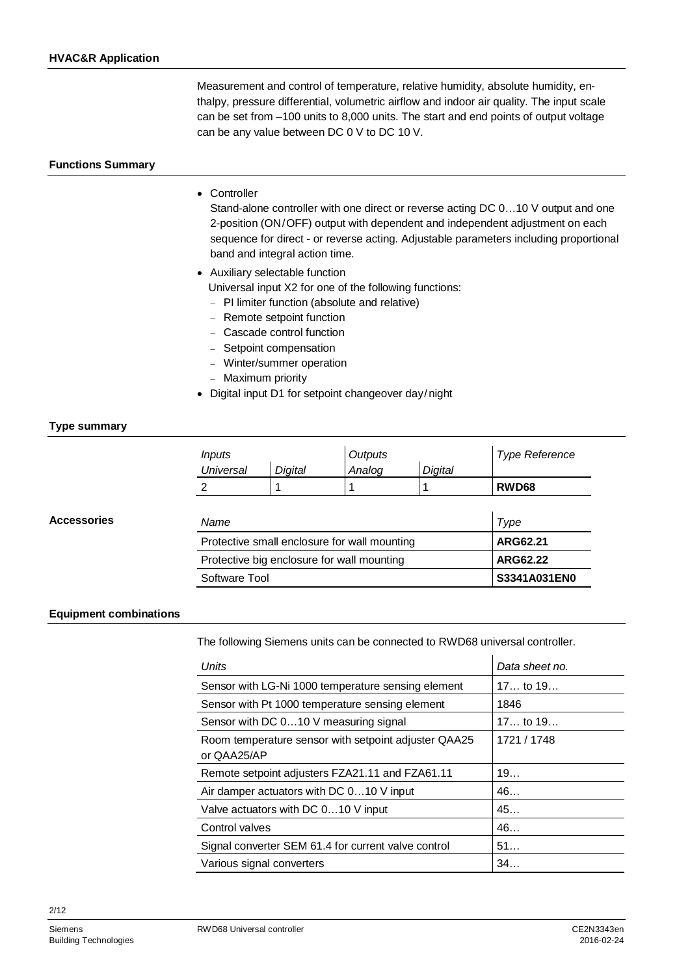Measurement and control of temperature, relative humidity, absolute humidity, enthalpy, pressure differential, volumetric airflow and indoor air quality. The input scale can be set from –100 units to 8,000 units. The start and end points of output voltage can be any value between DC 0 V to DC 10 V.

#### **Functions Summary**

#### · Controller

Stand-alone controller with one direct or reverse acting DC 0…10 V output and one 2-position (ON/OFF) output with dependent and independent adjustment on each sequence for direct - or reverse acting. Adjustable parameters including proportional band and integral action time.

· Auxiliary selectable function

Universal input X2 for one of the following functions:

- PI limiter function (absolute and relative)
- Remote setpoint function
- Cascade control function
- Setpoint compensation
- Winter/summer operation
- Maximum priority
- · Digital input D1 for setpoint changeover day/night

#### **Type summary**

**Accessories**

| <i>Inputs</i>                                |                | Outputs |              | <b>Type Reference</b> |
|----------------------------------------------|----------------|---------|--------------|-----------------------|
| <b>Universal</b>                             | <b>Digital</b> | Analog  | Digital      |                       |
| 2                                            |                |         |              | RWD68                 |
|                                              |                |         |              |                       |
| Name                                         |                |         | Type         |                       |
| Protective small enclosure for wall mounting |                |         | ARG62.21     |                       |
| Protective big enclosure for wall mounting   |                |         | ARG62.22     |                       |
| Software Tool                                |                |         | S3341A031EN0 |                       |

#### **Equipment combinations**

The following Siemens units can be connected to RWD68 universal controller.

| Units                                                               | Data sheet no. |
|---------------------------------------------------------------------|----------------|
| Sensor with LG-Ni 1000 temperature sensing element                  | $17$ to $19$   |
| Sensor with Pt 1000 temperature sensing element                     | 1846           |
| Sensor with DC 010 V measuring signal                               | 17 to 19       |
| Room temperature sensor with setpoint adjuster QAA25<br>or QAA25/AP | 1721 / 1748    |
| Remote setpoint adjusters FZA21.11 and FZA61.11                     | 19             |
| Air damper actuators with DC 010 V input                            | 46             |
| Valve actuators with DC 010 V input                                 | 45             |
| Control valves                                                      | 46             |
| Signal converter SEM 61.4 for current valve control                 | 51             |
| Various signal converters                                           | 34             |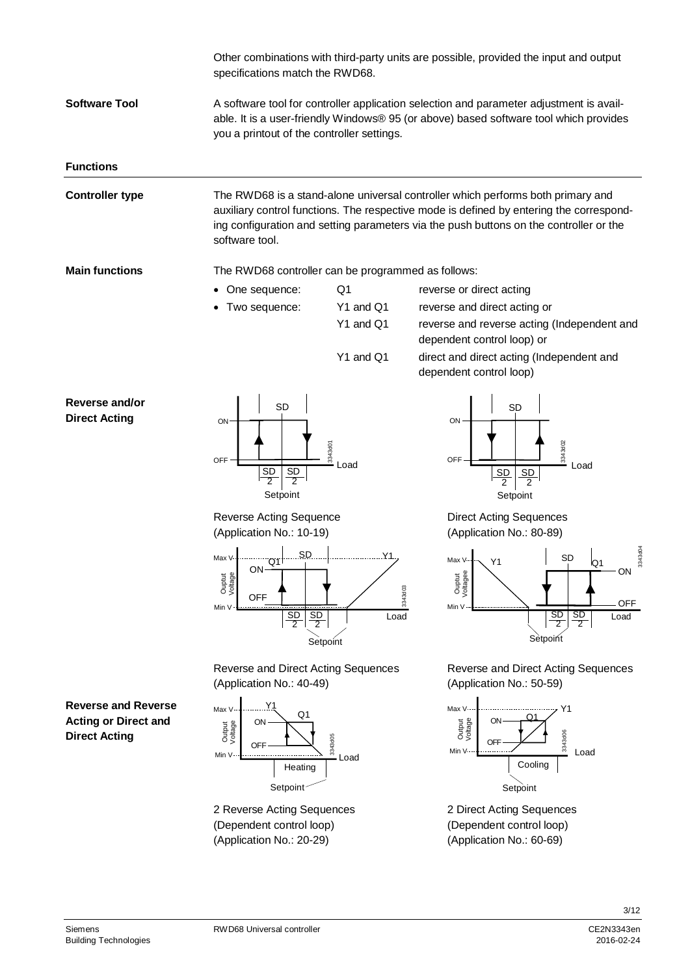|                                                                                   | specifications match the RWD68.                                                                                                                                                                                                                                           |                 | Other combinations with third-party units are possible, provided the input and output                                                                                                                                                                                |
|-----------------------------------------------------------------------------------|---------------------------------------------------------------------------------------------------------------------------------------------------------------------------------------------------------------------------------------------------------------------------|-----------------|----------------------------------------------------------------------------------------------------------------------------------------------------------------------------------------------------------------------------------------------------------------------|
| <b>Software Tool</b>                                                              | A software tool for controller application selection and parameter adjustment is avail-<br>able. It is a user-friendly Windows® 95 (or above) based software tool which provides<br>you a printout of the controller settings.                                            |                 |                                                                                                                                                                                                                                                                      |
| <b>Functions</b>                                                                  |                                                                                                                                                                                                                                                                           |                 |                                                                                                                                                                                                                                                                      |
| <b>Controller type</b>                                                            | software tool.                                                                                                                                                                                                                                                            |                 | The RWD68 is a stand-alone universal controller which performs both primary and<br>auxiliary control functions. The respective mode is defined by entering the correspond-<br>ing configuration and setting parameters via the push buttons on the controller or the |
| <b>Main functions</b>                                                             | The RWD68 controller can be programmed as follows:                                                                                                                                                                                                                        |                 |                                                                                                                                                                                                                                                                      |
|                                                                                   | • One sequence:                                                                                                                                                                                                                                                           | Q1              | reverse or direct acting                                                                                                                                                                                                                                             |
|                                                                                   | Two sequence:                                                                                                                                                                                                                                                             | Y1 and Q1       | reverse and direct acting or                                                                                                                                                                                                                                         |
|                                                                                   |                                                                                                                                                                                                                                                                           | Y1 and Q1       | reverse and reverse acting (Independent and<br>dependent control loop) or                                                                                                                                                                                            |
|                                                                                   |                                                                                                                                                                                                                                                                           | Y1 and Q1       | direct and direct acting (Independent and<br>dependent control loop)                                                                                                                                                                                                 |
| Reverse and/or<br><b>Direct Acting</b>                                            | <b>SD</b><br>ON<br><b>OFF</b><br>$rac{SD}{2}$<br>$rac{SD}{2}$<br>Setpoint                                                                                                                                                                                                 | 3343d01<br>Load | <b>SD</b><br>ON<br>3343d02<br>OFF<br>Load<br>SD<br>SD<br>$\overline{2}$<br>$\overline{2}$<br>Setpoint                                                                                                                                                                |
|                                                                                   | Reverse Acting Sequence<br>(Application No.: 10-19)                                                                                                                                                                                                                       |                 | <b>Direct Acting Sequences</b><br>(Application No.: 80-89)                                                                                                                                                                                                           |
|                                                                                   | Max V<br>$\begin{array}{c c c c c c c c c} \hline \text{Max V} & \text{SD} & \text{SD} & \text{M1} \ \hline & \text{ON} & \text{T} & \text{M2} \ \hline \end{array}$<br>Ouptut<br>Voltage<br><b>OFF</b><br>Min V<br>$rac{\overline{SD}}{2}$<br>$\frac{SD}{2}$<br>Setpoint | 3343d03<br>Load | SD<br>Max V<br>Y <sub>1</sub><br>IO 1<br>ON<br>Ouptut<br>Voltagee<br><b>OFF</b><br>Min V<br>$\frac{SD}{2}$<br>$rac{SD}{2}$<br>Load<br>Setpoint                                                                                                                       |
|                                                                                   | Reverse and Direct Acting Sequences<br>(Application No.: 40-49)                                                                                                                                                                                                           |                 | Reverse and Direct Acting Sequences<br>(Application No.: 50-59)                                                                                                                                                                                                      |
| <b>Reverse and Reverse</b><br><b>Acting or Direct and</b><br><b>Direct Acting</b> | Υ1<br>Max V<br>Q <sub>1</sub><br>ON<br>Output<br>Voltage<br><b>OFF</b><br>Min V<br>Heating<br>Setpoint                                                                                                                                                                    | 3343d05<br>Load | Max V--<br>Y1<br>Output<br>Voltage<br>ON<br>3343d06<br><b>OFF</b><br>Min V-<br>Load<br>Cooling<br>Setpoint                                                                                                                                                           |
|                                                                                   | 2 Reverse Acting Sequences<br>(Dependent control loop)                                                                                                                                                                                                                    |                 | 2 Direct Acting Sequences<br>(Dependent control loop)                                                                                                                                                                                                                |

(Application No.: 60-69)

(Application No.: 20-29)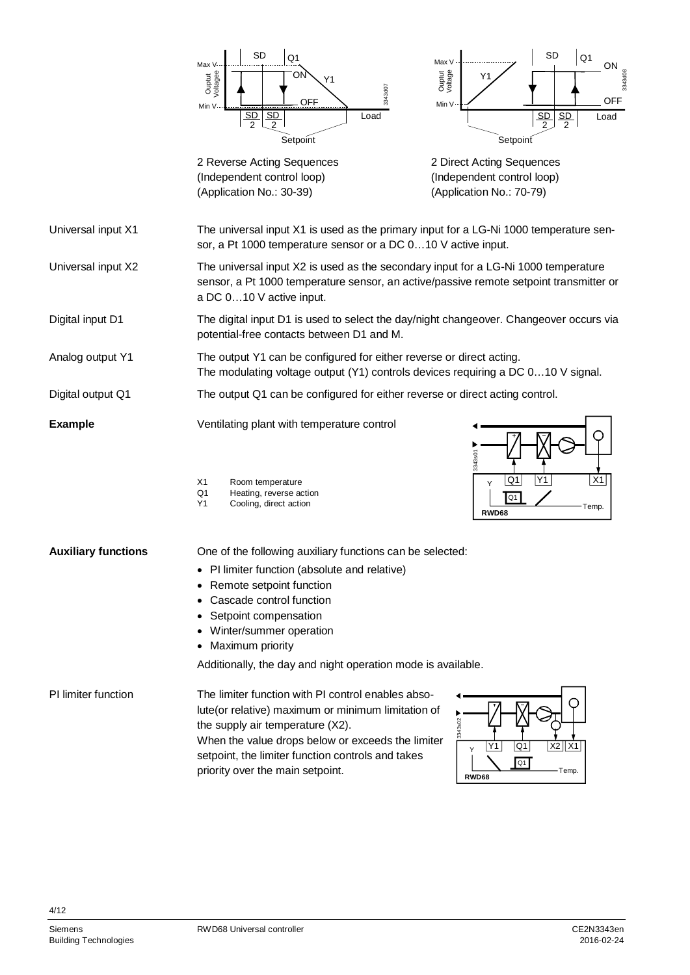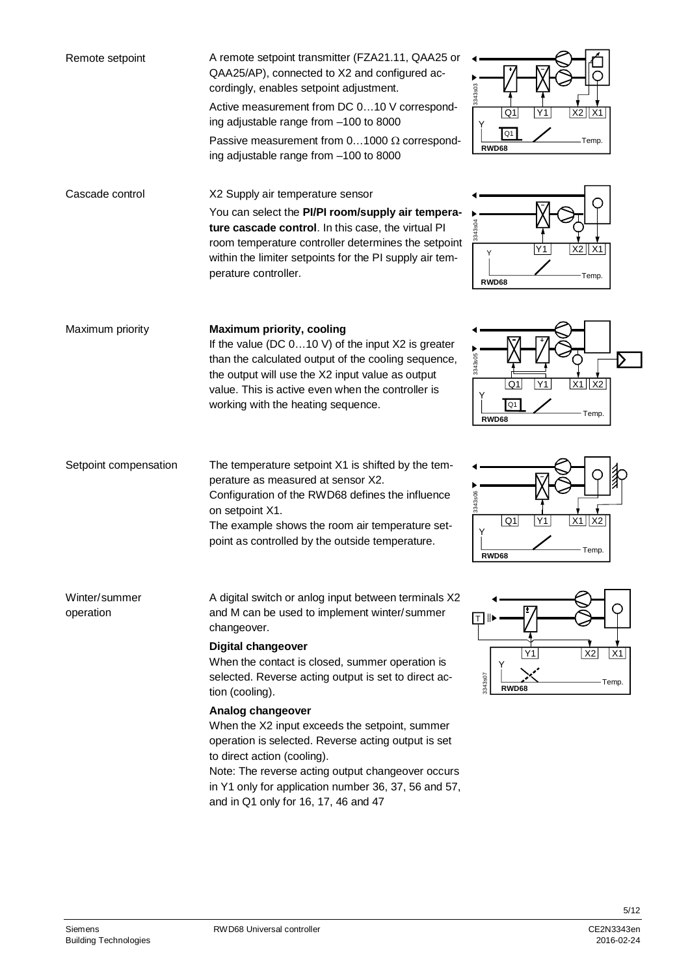| Remote setpoint            | A remote setpoint transmitter (FZA21.11, QAA25 or<br>QAA25/AP), connected to X2 and configured ac-<br>cordingly, enables setpoint adjustment.<br>Active measurement from DC 010 V correspond-<br>ing adjustable range from -100 to 8000<br>Passive measurement from $01000 \Omega$ correspond-<br>ing adjustable range from -100 to 8000                                                                                                                                                                                                                                                  | 3343s03<br>$X2$   $X1$<br>Q1<br>Q <sub>1</sub><br>Temp.<br><b>RWD68</b>      |
|----------------------------|-------------------------------------------------------------------------------------------------------------------------------------------------------------------------------------------------------------------------------------------------------------------------------------------------------------------------------------------------------------------------------------------------------------------------------------------------------------------------------------------------------------------------------------------------------------------------------------------|------------------------------------------------------------------------------|
| Cascade control            | X2 Supply air temperature sensor<br>You can select the PI/PI room/supply air tempera-<br>ture cascade control. In this case, the virtual PI<br>room temperature controller determines the setpoint<br>within the limiter setpoints for the PI supply air tem-<br>perature controller.                                                                                                                                                                                                                                                                                                     | $X2$ $X1$<br>Y1<br>Υ<br>Temp.<br><b>RWD68</b>                                |
| Maximum priority           | <b>Maximum priority, cooling</b><br>If the value (DC $010$ V) of the input X2 is greater<br>than the calculated output of the cooling sequence,<br>the output will use the X2 input value as output<br>value. This is active even when the controller is<br>working with the heating sequence.                                                                                                                                                                                                                                                                                            | 3343s05<br>Q <sub>1</sub><br>X1<br>1 X2<br>Y1<br>Q1<br>Temp.<br><b>RWD68</b> |
| Setpoint compensation      | The temperature setpoint X1 is shifted by the tem-<br>perature as measured at sensor X2.<br>Configuration of the RWD68 defines the influence<br>on setpoint X1.<br>The example shows the room air temperature set-<br>point as controlled by the outside temperature.                                                                                                                                                                                                                                                                                                                     | 3343s06<br>$X1$ $X2$<br>Y1<br>Q1<br>Υ<br>Temp.<br><b>RWD68</b>               |
| Winter/summer<br>operation | A digital switch or anlog input between terminals X2<br>and M can be used to implement winter/summer<br>changeover.<br>Digital changeover<br>When the contact is closed, summer operation is<br>selected. Reverse acting output is set to direct ac-<br>tion (cooling).<br>Analog changeover<br>When the X2 input exceeds the setpoint, summer<br>operation is selected. Reverse acting output is set<br>to direct action (cooling).<br>Note: The reverse acting output changeover occurs<br>in Y1 only for application number 36, 37, 56 and 57,<br>and in Q1 only for 16, 17, 46 and 47 | ⊤ ID<br>X2<br>Y1<br>X1<br>3343s07<br>Temp.<br>RWD68                          |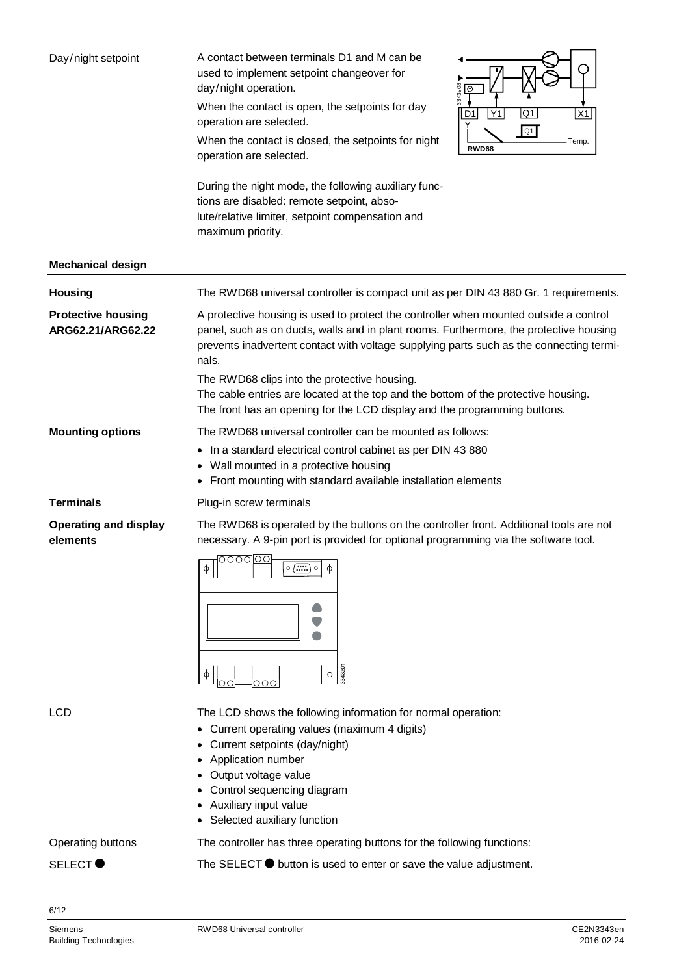| Day/night setpoint                             | A contact between terminals D1 and M can be<br>used to implement setpoint changeover for<br>day/night operation.<br>3343s08<br>∣⊗<br>When the contact is open, the setpoints for day<br>Q1<br>D <sub>1</sub><br>X1<br>  Y1<br>operation are selected.<br>Q1<br>When the contact is closed, the setpoints for night<br>Temp.<br><b>RWD68</b><br>operation are selected.<br>During the night mode, the following auxiliary func-<br>tions are disabled: remote setpoint, abso-<br>lute/relative limiter, setpoint compensation and<br>maximum priority. |
|------------------------------------------------|-------------------------------------------------------------------------------------------------------------------------------------------------------------------------------------------------------------------------------------------------------------------------------------------------------------------------------------------------------------------------------------------------------------------------------------------------------------------------------------------------------------------------------------------------------|
| <b>Mechanical design</b>                       |                                                                                                                                                                                                                                                                                                                                                                                                                                                                                                                                                       |
| <b>Housing</b>                                 | The RWD68 universal controller is compact unit as per DIN 43 880 Gr. 1 requirements.                                                                                                                                                                                                                                                                                                                                                                                                                                                                  |
| <b>Protective housing</b><br>ARG62.21/ARG62.22 | A protective housing is used to protect the controller when mounted outside a control<br>panel, such as on ducts, walls and in plant rooms. Furthermore, the protective housing<br>prevents inadvertent contact with voltage supplying parts such as the connecting termi-<br>nals.<br>The RWD68 clips into the protective housing.<br>The cable entries are located at the top and the bottom of the protective housing.<br>The front has an opening for the LCD display and the programming buttons.                                                |
| <b>Mounting options</b>                        | The RWD68 universal controller can be mounted as follows:                                                                                                                                                                                                                                                                                                                                                                                                                                                                                             |
|                                                | In a standard electrical control cabinet as per DIN 43 880<br>٠<br>• Wall mounted in a protective housing<br>• Front mounting with standard available installation elements                                                                                                                                                                                                                                                                                                                                                                           |
| <b>Terminals</b>                               | Plug-in screw terminals                                                                                                                                                                                                                                                                                                                                                                                                                                                                                                                               |
| <b>Operating and display</b><br>elements       | The RWD68 is operated by the buttons on the controller front. Additional tools are not<br>necessary. A 9-pin port is provided for optional programming via the software tool.<br><u>-000000</u><br>$\circ$ $\overline{(\cdots)} \circ$<br>$\phi$<br>$\overset{\cdot}{\Rightarrow}$<br>3343z01<br>$\frac{1}{\Phi}$<br>nnc                                                                                                                                                                                                                              |
| <b>LCD</b>                                     | The LCD shows the following information for normal operation:<br>Current operating values (maximum 4 digits)<br>Current setpoints (day/night)<br>Application number<br>Output voltage value<br>Control sequencing diagram<br>Auxiliary input value<br>Selected auxiliary function                                                                                                                                                                                                                                                                     |
| Operating buttons                              | The controller has three operating buttons for the following functions:                                                                                                                                                                                                                                                                                                                                                                                                                                                                               |
| SELECT <sup>O</sup>                            | The SELECT $\bullet$ button is used to enter or save the value adjustment.                                                                                                                                                                                                                                                                                                                                                                                                                                                                            |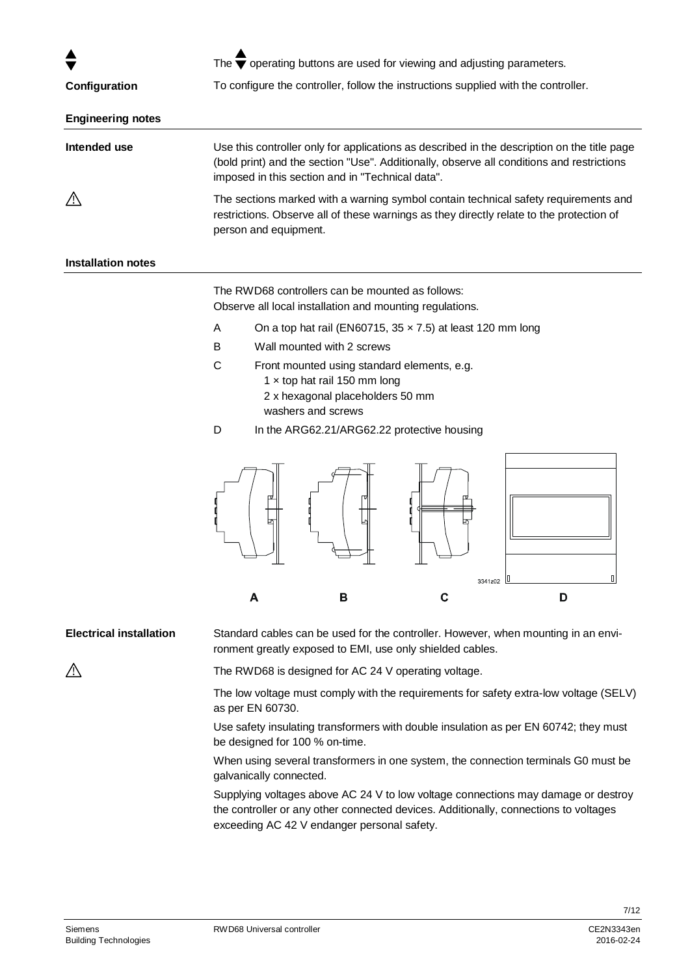| Configuration            | The $\overline{\blacktriangledown}$ operating buttons are used for viewing and adjusting parameters.<br>To configure the controller, follow the instructions supplied with the controller.                                                   |  |
|--------------------------|----------------------------------------------------------------------------------------------------------------------------------------------------------------------------------------------------------------------------------------------|--|
| <b>Engineering notes</b> |                                                                                                                                                                                                                                              |  |
| Intended use             | Use this controller only for applications as described in the description on the title page<br>(bold print) and the section "Use". Additionally, observe all conditions and restrictions<br>imposed in this section and in "Technical data". |  |
|                          | The sections marked with a warning symbol contain technical safety requirements and<br>restrictions. Observe all of these warnings as they directly relate to the protection of<br>person and equipment.                                     |  |

#### **Installation notes**

The RWD68 controllers can be mounted as follows: Observe all local installation and mounting regulations.

- A On a top hat rail (EN60715, 35 × 7.5) at least 120 mm long
- B Wall mounted with 2 screws
- C Front mounted using standard elements, e.g.
	- 1 × top hat rail 150 mm long
	- 2 x hexagonal placeholders 50 mm washers and screws
- D In the ARG62.21/ARG62.22 protective housing



Standard cables can be used for the controller. However, when mounting in an environment greatly exposed to EMI, use only shielded cables. **Electrical installation**

 $\bigwedge$ 

The RWD68 is designed for AC 24 V operating voltage.

The low voltage must comply with the requirements for safety extra-low voltage (SELV) as per EN 60730.

Use safety insulating transformers with double insulation as per EN 60742; they must be designed for 100 % on-time.

When using several transformers in one system, the connection terminals G0 must be galvanically connected.

Supplying voltages above AC 24 V to low voltage connections may damage or destroy the controller or any other connected devices. Additionally, connections to voltages exceeding AC 42 V endanger personal safety.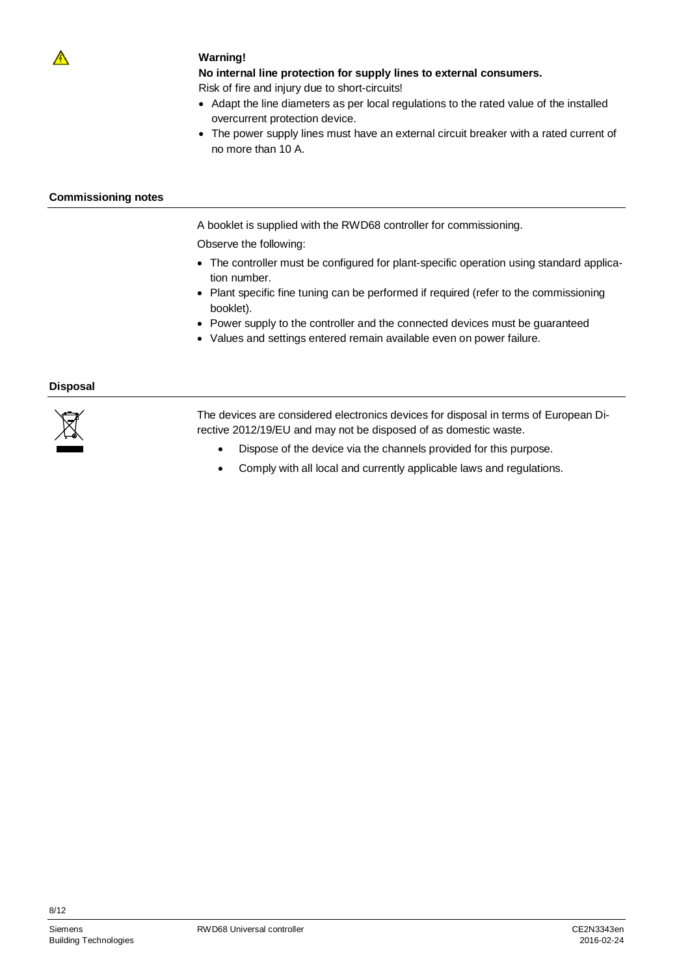

#### **Warning!**

**No internal line protection for supply lines to external consumers.**

Risk of fire and injury due to short-circuits!

- · Adapt the line diameters as per local regulations to the rated value of the installed overcurrent protection device.
- · The power supply lines must have an external circuit breaker with a rated current of no more than 10 A.

#### **Commissioning notes**

A booklet is supplied with the RWD68 controller for commissioning.

Observe the following:

- · The controller must be configured for plant-specific operation using standard application number.
- · Plant specific fine tuning can be performed if required (refer to the commissioning booklet).
- · Power supply to the controller and the connected devices must be guaranteed
- · Values and settings entered remain available even on power failure.

#### **Disposal**



The devices are considered electronics devices for disposal in terms of European Directive 2012/19/EU and may not be disposed of as domestic waste.

- · Dispose of the device via the channels provided for this purpose.
- · Comply with all local and currently applicable laws and regulations.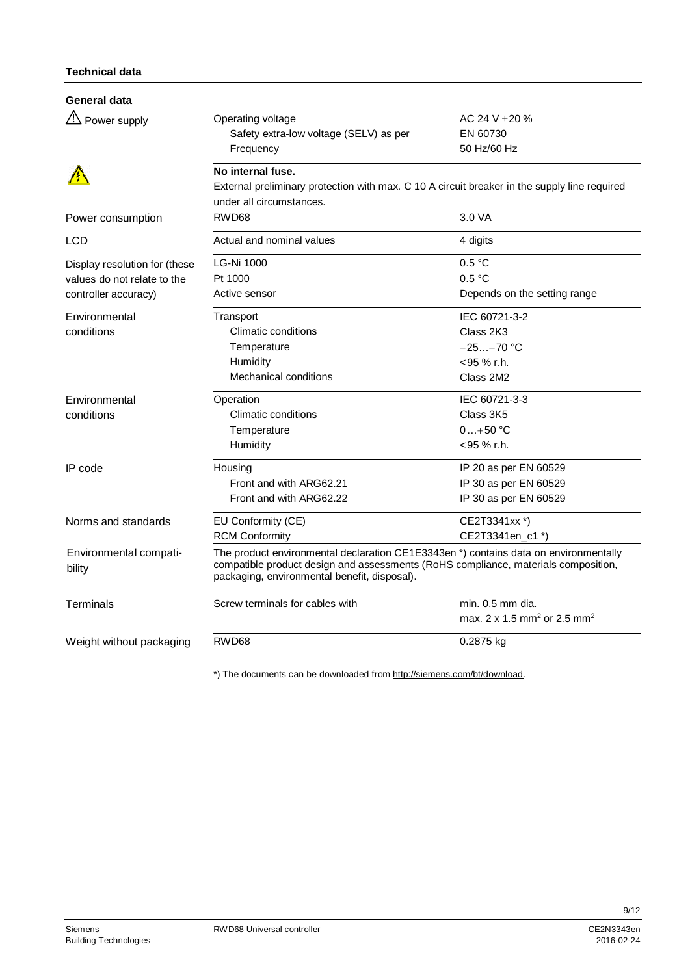### **Technical data**

| General data                                                                         |                                                                                                                                                                                                                            |                                                                         |
|--------------------------------------------------------------------------------------|----------------------------------------------------------------------------------------------------------------------------------------------------------------------------------------------------------------------------|-------------------------------------------------------------------------|
| $\frac{\text{d}I}{\text{d}I}$ Power supply                                           | Operating voltage<br>Safety extra-low voltage (SELV) as per<br>Frequency                                                                                                                                                   | AC 24 V $\pm$ 20 %<br>EN 60730<br>50 Hz/60 Hz                           |
|                                                                                      | No internal fuse.<br>External preliminary protection with max. C 10 A circuit breaker in the supply line required<br>under all circumstances.                                                                              |                                                                         |
| Power consumption                                                                    | RWD68                                                                                                                                                                                                                      | 3.0 VA                                                                  |
| <b>LCD</b>                                                                           | Actual and nominal values                                                                                                                                                                                                  | 4 digits                                                                |
| Display resolution for (these<br>values do not relate to the<br>controller accuracy) | <b>LG-Ni 1000</b><br>Pt 1000<br>Active sensor                                                                                                                                                                              | 0.5 °C<br>0.5 °C<br>Depends on the setting range                        |
| Environmental<br>conditions                                                          | Transport<br>Climatic conditions<br>Temperature<br>Humidity<br><b>Mechanical conditions</b>                                                                                                                                | IEC 60721-3-2<br>Class 2K3<br>$-25+70$ °C<br><95 % r.h.<br>Class 2M2    |
| Environmental<br>conditions                                                          | Operation<br>Climatic conditions<br>Temperature<br>Humidity                                                                                                                                                                | IEC 60721-3-3<br>Class 3K5<br>$0+50 °C$<br><95 % r.h.                   |
| IP code                                                                              | Housing<br>Front and with ARG62.21<br>Front and with ARG62.22                                                                                                                                                              | IP 20 as per EN 60529<br>IP 30 as per EN 60529<br>IP 30 as per EN 60529 |
| Norms and standards                                                                  | EU Conformity (CE)<br><b>RCM Conformity</b>                                                                                                                                                                                | CE2T3341xx *)<br>CE2T3341en_c1 *)                                       |
| Environmental compati-<br>bility                                                     | The product environmental declaration CE1E3343en *) contains data on environmentally<br>compatible product design and assessments (RoHS compliance, materials composition,<br>packaging, environmental benefit, disposal). |                                                                         |
| Terminals                                                                            | Screw terminals for cables with                                                                                                                                                                                            | min. 0.5 mm dia.<br>max. 2 x 1.5 mm <sup>2</sup> or 2.5 mm <sup>2</sup> |
| Weight without packaging                                                             | RWD68                                                                                                                                                                                                                      | 0.2875 kg                                                               |

\*) The documents can be downloaded from [http://siemens.com/bt/download.](http://siemens.com/bt/download)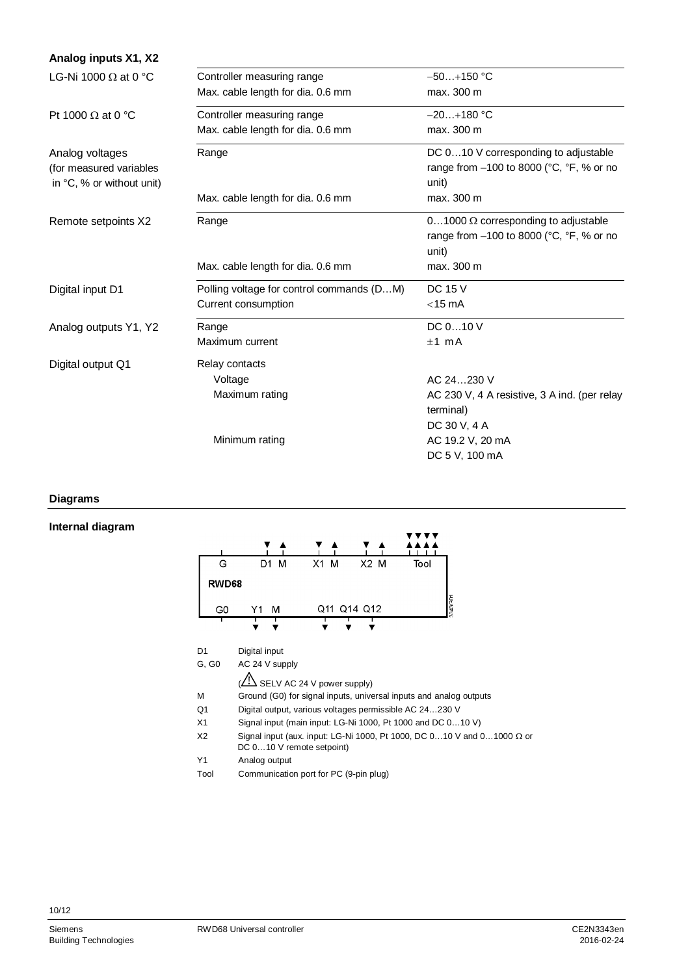| Analog inputs X1, X2        |                                           |                                                                 |
|-----------------------------|-------------------------------------------|-----------------------------------------------------------------|
| LG-Ni 1000 $\Omega$ at 0 °C | Controller measuring range                | $-50+150$ °C                                                    |
|                             | Max. cable length for dia. 0.6 mm         | max. 300 m                                                      |
| Pt 1000 $\Omega$ at 0 °C    | Controller measuring range                | $-20+180$ °C                                                    |
|                             | Max. cable length for dia. 0.6 mm         | max. 300 m                                                      |
| Analog voltages             | Range                                     | DC 010 V corresponding to adjustable                            |
| (for measured variables     |                                           | range from $-100$ to 8000 ( $^{\circ}$ C, $^{\circ}$ F, % or no |
| in °C, % or without unit)   |                                           | unit)                                                           |
|                             | Max. cable length for dia. 0.6 mm         | max. 300 m                                                      |
| Remote setpoints X2         | Range                                     | 01000 $\Omega$ corresponding to adjustable                      |
|                             |                                           | range from -100 to 8000 (°C, °F, % or no                        |
|                             |                                           | unit)                                                           |
|                             | Max. cable length for dia. 0.6 mm         | max. 300 m                                                      |
| Digital input D1            | Polling voltage for control commands (DM) | <b>DC 15 V</b>                                                  |
|                             | Current consumption                       | $<$ 15 mA                                                       |
| Analog outputs Y1, Y2       | Range                                     | DC 010 V                                                        |
|                             | Maximum current                           | $±1$ mA                                                         |
| Digital output Q1           | Relay contacts                            |                                                                 |
|                             | Voltage                                   | AC 24230 V                                                      |
|                             | Maximum rating                            | AC 230 V, 4 A resistive, 3 A ind. (per relay                    |
|                             |                                           | terminal)                                                       |
|                             |                                           | DC 30 V, 4 A                                                    |
|                             | Minimum rating                            | AC 19.2 V, 20 mA                                                |
|                             |                                           | DC 5 V, 100 mA                                                  |

#### **Diagrams**

#### **Internal diagram**

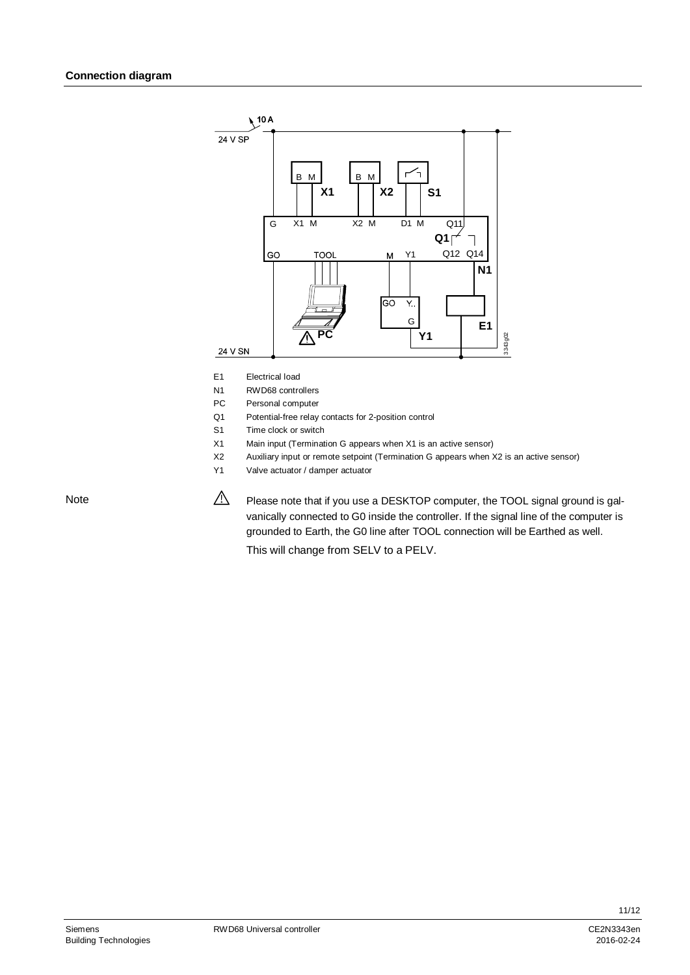

- E1 Electrical load
- N1 RWD68 controllers
- PC Personal computer
- Q1 Potential-free relay contacts for 2-position control
- S1 Time clock or switch
- X1 Main input (Termination G appears when X1 is an active sensor)
- X2 Auxiliary input or remote setpoint (Termination G appears when X2 is an active sensor)
- Y1 Valve actuator / damper actuator

 $\mathbb{A}$ Please note that if you use a DESKTOP computer, the TOOL signal ground is galvanically connected to G0 inside the controller. If the signal line of the computer is grounded to Earth, the G0 line after TOOL connection will be Earthed as well. This will change from SELV to a PELV.

Note

Building Technologies 2016-02-24